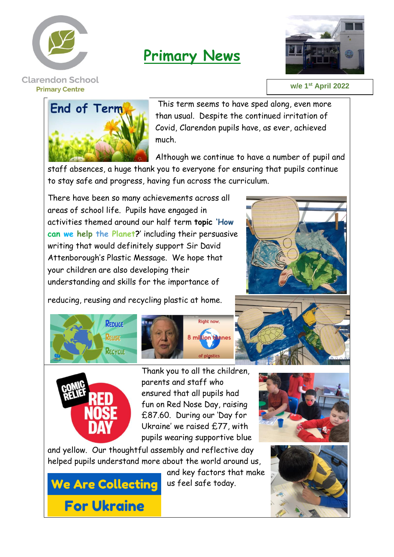

## **Primary News**



## **w/e 1 st April 2022**



This term seems to have sped along, even more than usual. Despite the continued irritation of Covid, Clarendon pupils have, as ever, achieved much.

Although we continue to have a number of pupil and staff absences, a huge thank you to everyone for ensuring that pupils continue

to stay safe and progress, having fun across the curriculum.

There have been so many achievements across all areas of school life. Pupils have engaged in activities themed around our half term **topic 'How can we help the Planet?**' including their persuasive writing that would definitely support Sir David Attenborough's Plastic Message. We hope that your children are also developing their understanding and skills for the importance of

reducing, reusing and recycling plastic at home.







Thank you to all the children, parents and staff who ensured that all pupils had fun on Red Nose Day, raising £87.60. During our 'Day for Ukraine' we raised £77, with pupils wearing supportive blue

**Right now** 

8 million tannes

and yellow. Our thoughtful assembly and reflective day helped pupils understand more about the world around us,

**We Are Collecting For Ukraine** 

and key factors that make us feel safe today.